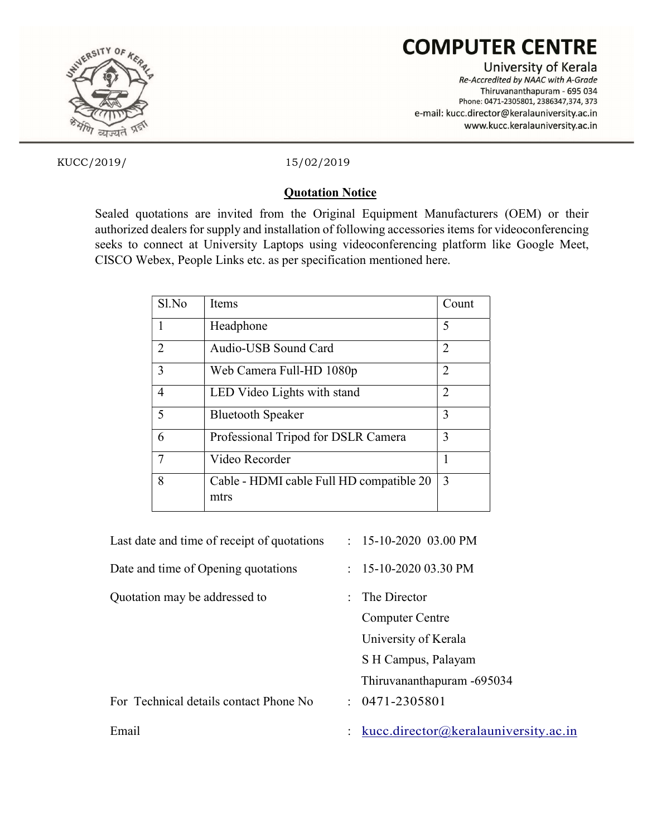

# **COMPUTER CENTRE**

University of Kerala Re-Accredited by NAAC with A-Grade Thiruvananthapuram - 695 034 Phone: 0471-2305801, 2386347,374, 373 e-mail: kucc.director@keralauniversity.ac.in www.kucc.keralauniversity.ac.in

KUCC/2019/ 15/02/2019

# Quotation Notice

Sealed quotations are invited from the Original Equipment Manufacturers (OEM) or their authorized dealers for supply and installation of following accessories items for videoconferencing seeks to connect at University Laptops using videoconferencing platform like Google Meet, CISCO Webex, People Links etc. as per specification mentioned here.

| Sl.No | <b>Items</b>                             | Count                       |
|-------|------------------------------------------|-----------------------------|
| 1     | Headphone                                | 5                           |
| 2     | Audio-USB Sound Card                     | 2                           |
| 3     | Web Camera Full-HD 1080p                 | 2                           |
| 4     | LED Video Lights with stand              | $\mathcal{D}_{\mathcal{A}}$ |
| 5     | <b>Bluetooth Speaker</b>                 | 3                           |
| 6     | Professional Tripod for DSLR Camera      | 3                           |
| 7     | Video Recorder                           |                             |
| 8     | Cable - HDMI cable Full HD compatible 20 | 3                           |
|       | mtrs                                     |                             |

| Last date and time of receipt of quotations | $: 15-10-2020$ 03.00 PM              |
|---------------------------------------------|--------------------------------------|
| Date and time of Opening quotations         | $: 15-10-202003.30 \text{ PM}$       |
| Quotation may be addressed to               | The Director<br>$\cdot$              |
|                                             | <b>Computer Centre</b>               |
|                                             | University of Kerala                 |
|                                             | S H Campus, Palayam                  |
|                                             | Thiruvananthapuram -695034           |
| For Technical details contact Phone No      | $: 0471 - 2305801$                   |
| Email                                       | kucc.director@keralauniversity.ac.in |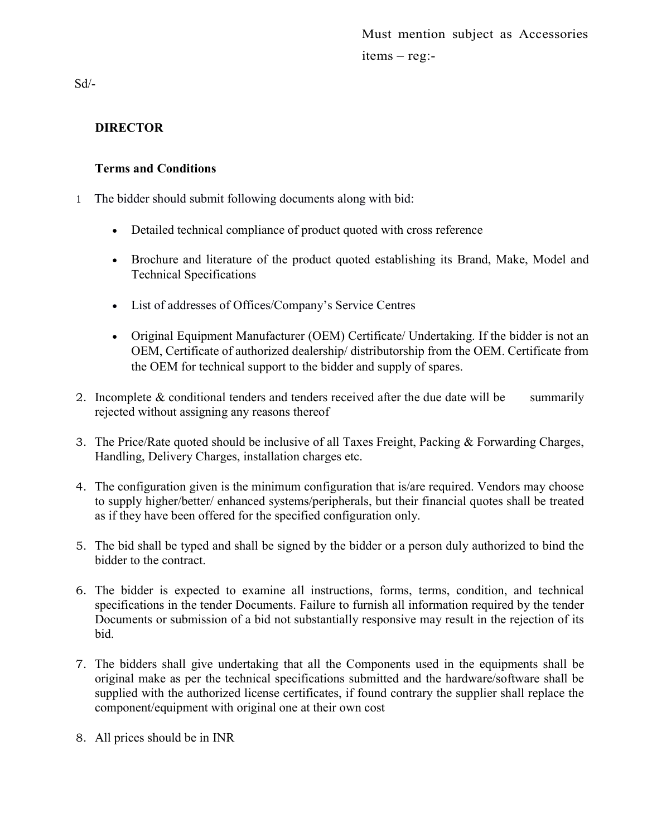Must mention subject as Accessories items – reg:-

 $Sd/-$ 

# DIRECTOR

# Terms and Conditions

- 1 The bidder should submit following documents along with bid:
	- Detailed technical compliance of product quoted with cross reference
	- Brochure and literature of the product quoted establishing its Brand, Make, Model and Technical Specifications
	- List of addresses of Offices/Company's Service Centres
	- Original Equipment Manufacturer (OEM) Certificate/ Undertaking. If the bidder is not an OEM, Certificate of authorized dealership/ distributorship from the OEM. Certificate from the OEM for technical support to the bidder and supply of spares.
- 2. Incomplete  $&$  conditional tenders and tenders received after the due date will be summarily rejected without assigning any reasons thereof
- 3. The Price/Rate quoted should be inclusive of all Taxes Freight, Packing & Forwarding Charges, Handling, Delivery Charges, installation charges etc.
- 4. The configuration given is the minimum configuration that is/are required. Vendors may choose to supply higher/better/ enhanced systems/peripherals, but their financial quotes shall be treated as if they have been offered for the specified configuration only.
- 5. The bid shall be typed and shall be signed by the bidder or a person duly authorized to bind the bidder to the contract.
- 6. The bidder is expected to examine all instructions, forms, terms, condition, and technical specifications in the tender Documents. Failure to furnish all information required by the tender Documents or submission of a bid not substantially responsive may result in the rejection of its bid.
- 7. The bidders shall give undertaking that all the Components used in the equipments shall be original make as per the technical specifications submitted and the hardware/software shall be supplied with the authorized license certificates, if found contrary the supplier shall replace the component/equipment with original one at their own cost
- 8. All prices should be in INR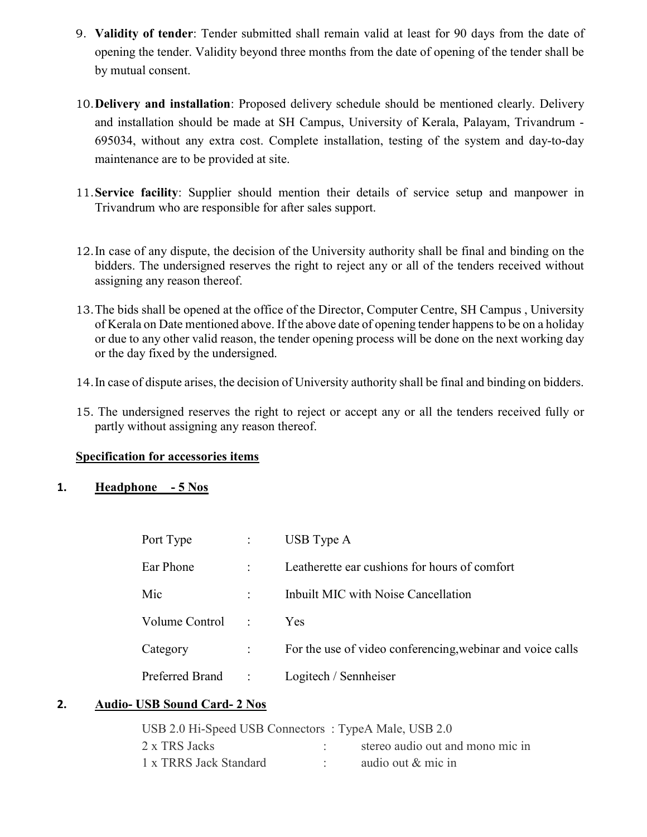- 9. Validity of tender: Tender submitted shall remain valid at least for 90 days from the date of opening the tender. Validity beyond three months from the date of opening of the tender shall be by mutual consent.
- 10.Delivery and installation: Proposed delivery schedule should be mentioned clearly. Delivery and installation should be made at SH Campus, University of Kerala, Palayam, Trivandrum - 695034, without any extra cost. Complete installation, testing of the system and day-to-day maintenance are to be provided at site.
- 11.Service facility: Supplier should mention their details of service setup and manpower in Trivandrum who are responsible for after sales support.
- 12.In case of any dispute, the decision of the University authority shall be final and binding on the bidders. The undersigned reserves the right to reject any or all of the tenders received without assigning any reason thereof.
- 13.The bids shall be opened at the office of the Director, Computer Centre, SH Campus , University of Kerala on Date mentioned above. If the above date of opening tender happens to be on a holiday or due to any other valid reason, the tender opening process will be done on the next working day or the day fixed by the undersigned.
- 14.In case of dispute arises, the decision of University authority shall be final and binding on bidders.
- 15. The undersigned reserves the right to reject or accept any or all the tenders received fully or partly without assigning any reason thereof.

#### Specification for accessories items

# 1. Headphone - 5 Nos

| Ear Phone<br>Leatherette ear cushions for hours of comfort<br>$\ddot{\phantom{a}}$<br>Inbuilt MIC with Noise Cancellation<br>Mic<br>$\ddot{\phantom{a}}$<br>Volume Control<br><b>Yes</b><br>$\cdot$ :<br>Category<br>$\ddot{\cdot}$<br>Preferred Brand:<br>Logitech / Sennheiser | Port Type | $\ddot{\cdot}$ | USB Type A                                                  |
|----------------------------------------------------------------------------------------------------------------------------------------------------------------------------------------------------------------------------------------------------------------------------------|-----------|----------------|-------------------------------------------------------------|
|                                                                                                                                                                                                                                                                                  |           |                |                                                             |
|                                                                                                                                                                                                                                                                                  |           |                |                                                             |
|                                                                                                                                                                                                                                                                                  |           |                |                                                             |
|                                                                                                                                                                                                                                                                                  |           |                | For the use of video conferencing, we binar and voice calls |
|                                                                                                                                                                                                                                                                                  |           |                |                                                             |

### 2. Audio- USB Sound Card- 2 Nos

| USB 2.0 Hi-Speed USB Connectors: TypeA Male, USB 2.0 |                                  |
|------------------------------------------------------|----------------------------------|
| 2 x TRS Jacks                                        | stereo audio out and mono mic in |
| 1 x TRRS Jack Standard                               | audio out & mic in               |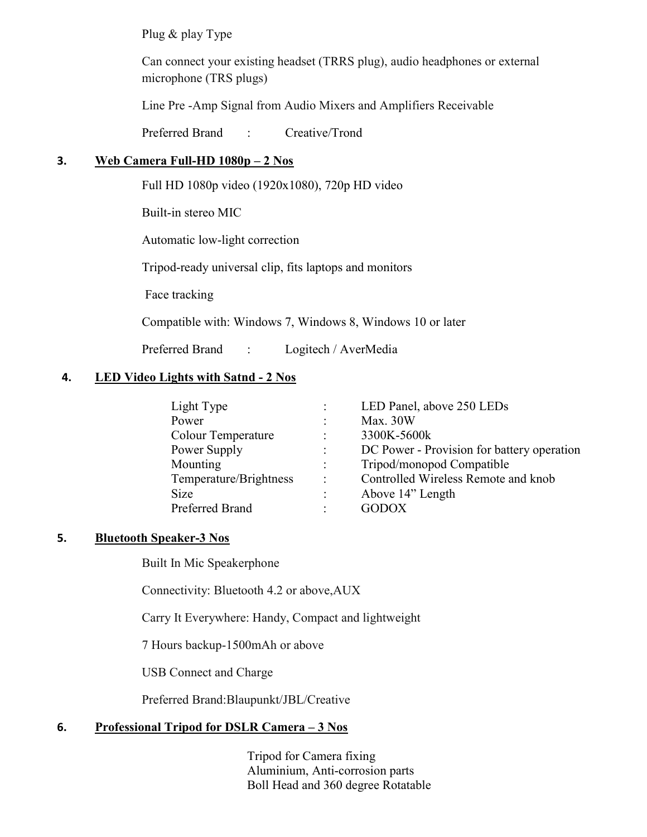Plug & play Type

Can connect your existing headset (TRRS plug), audio headphones or external microphone (TRS plugs)

Line Pre -Amp Signal from Audio Mixers and Amplifiers Receivable

Preferred Brand : Creative/Trond

# 3. Web Camera Full-HD  $1080p - 2$  Nos

Full HD 1080p video (1920x1080), 720p HD video

Built-in stereo MIC

Automatic low-light correction

Tripod-ready universal clip, fits laptops and monitors

Face tracking

Compatible with: Windows 7, Windows 8, Windows 10 or later

Preferred Brand : Logitech / AverMedia

#### 4. LED Video Lights with Satnd - 2 Nos

| Light Type                |                      | LED Panel, above 250 LEDs                  |
|---------------------------|----------------------|--------------------------------------------|
| Power                     |                      | Max. $30W$                                 |
| <b>Colour Temperature</b> |                      | 3300K-5600k                                |
| Power Supply              | $\ddot{\phantom{a}}$ | DC Power - Provision for battery operation |
| Mounting                  |                      | Tripod/monopod Compatible                  |
| Temperature/Brightness    | ÷                    | Controlled Wireless Remote and knob        |
| <b>Size</b>               |                      | Above 14" Length                           |
| Preferred Brand           |                      | GODOX                                      |

#### 5. Bluetooth Speaker-3 Nos

Built In Mic Speakerphone

Connectivity: Bluetooth 4.2 or above,AUX

Carry It Everywhere: Handy, Compact and lightweight

7 Hours backup-1500mAh or above

USB Connect and Charge

Preferred Brand:Blaupunkt/JBL/Creative

# 6. Professional Tripod for DSLR Camera – 3 Nos

 Tripod for Camera fixing Aluminium, Anti-corrosion parts Boll Head and 360 degree Rotatable